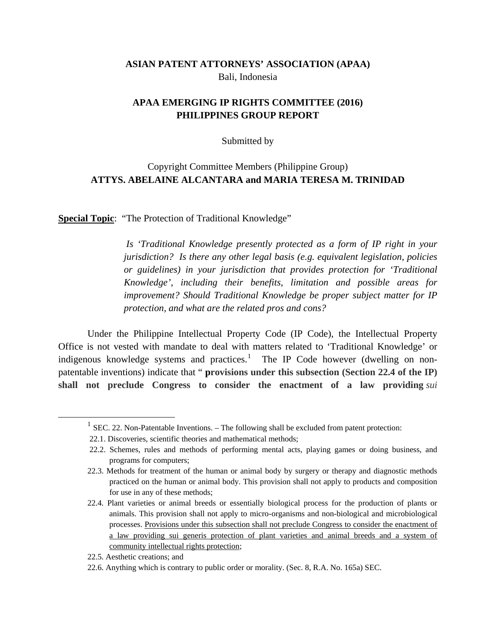## **ASIAN PATENT ATTORNEYS' ASSOCIATION (APAA)** Bali, Indonesia

## **APAA EMERGING IP RIGHTS COMMITTEE (2016) PHILIPPINES GROUP REPORT**

#### Submitted by

## Copyright Committee Members (Philippine Group) **ATTYS. ABELAINE ALCANTARA and MARIA TERESA M. TRINIDAD**

**Special Topic**: "The Protection of Traditional Knowledge"

*Is 'Traditional Knowledge presently protected as a form of IP right in your jurisdiction? Is there any other legal basis (e.g. equivalent legislation, policies or guidelines) in your jurisdiction that provides protection for 'Traditional Knowledge', including their benefits, limitation and possible areas for improvement? Should Traditional Knowledge be proper subject matter for IP protection, and what are the related pros and cons?*

Under the Philippine Intellectual Property Code (IP Code), the Intellectual Property Office is not vested with mandate to deal with matters related to 'Traditional Knowledge' or indigenous knowledge systems and practices.<sup>[1](#page-0-0)</sup> The IP Code however (dwelling on nonpatentable inventions) indicate that " **provisions under this subsection (Section 22.4 of the IP) shall not preclude Congress to consider the enactment of a law providing** *sui*

<span id="page-0-0"></span> $1$  SEC. 22. Non-Patentable Inventions. – The following shall be excluded from patent protection:

<sup>22.1.</sup> Discoveries, scientific theories and mathematical methods;

<sup>22.2.</sup> Schemes, rules and methods of performing mental acts, playing games or doing business, and programs for computers;

<sup>22.3.</sup> Methods for treatment of the human or animal body by surgery or therapy and diagnostic methods practiced on the human or animal body. This provision shall not apply to products and composition for use in any of these methods;

<sup>22.4.</sup> Plant varieties or animal breeds or essentially biological process for the production of plants or animals. This provision shall not apply to micro-organisms and non-biological and microbiological processes. Provisions under this subsection shall not preclude Congress to consider the enactment of a law providing sui generis protection of plant varieties and animal breeds and a system of community intellectual rights protection;

<sup>22.5.</sup> Aesthetic creations; and

<sup>22.6.</sup> Anything which is contrary to public order or morality. (Sec. 8, R.A. No. 165a) SEC.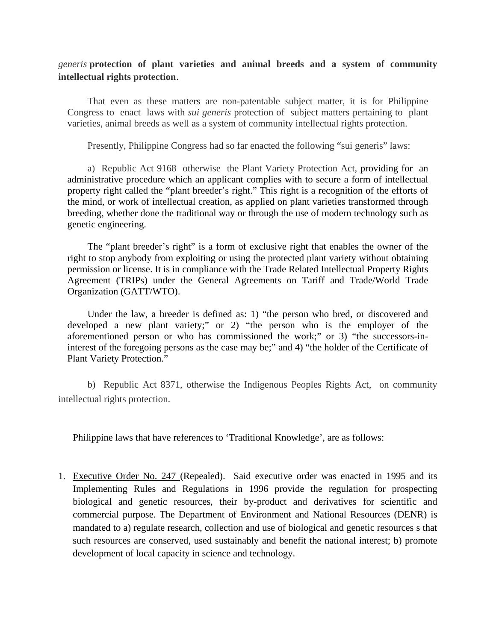#### *generis* **protection of plant varieties and animal breeds and a system of community intellectual rights protection**.

That even as these matters are non-patentable subject matter, it is for Philippine Congress to enact laws with *sui generis* protection of subject matters pertaining to plant varieties, animal breeds as well as a system of community intellectual rights protection.

Presently, Philippine Congress had so far enacted the following "sui generis" laws:

a) Republic Act 9168 otherwise the Plant Variety Protection Act, providing for an administrative procedure which an applicant complies with to secure a form of intellectual property right called the "plant breeder's right." This right is a recognition of the efforts of the mind, or work of intellectual creation, as applied on plant varieties transformed through breeding, whether done the traditional way or through the use of modern technology such as genetic engineering.

The "plant breeder's right" is a form of exclusive right that enables the owner of the right to stop anybody from exploiting or using the protected plant variety without obtaining permission or license. It is in compliance with the Trade Related Intellectual Property Rights Agreement (TRIPs) under the General Agreements on Tariff and Trade/World Trade Organization (GATT/WTO).

Under the law, a breeder is defined as: 1) "the person who bred, or discovered and developed a new plant variety;" or 2) "the person who is the employer of the aforementioned person or who has commissioned the work;" or 3) "the successors-ininterest of the foregoing persons as the case may be;" and 4) "the holder of the Certificate of Plant Variety Protection."

b) Republic Act 8371, otherwise the Indigenous Peoples Rights Act, on community intellectual rights protection.

Philippine laws that have references to 'Traditional Knowledge', are as follows:

1. Executive Order No. 247 (Repealed). Said executive order was enacted in 1995 and its Implementing Rules and Regulations in 1996 provide the regulation for prospecting biological and genetic resources, their by-product and derivatives for scientific and commercial purpose. The Department of Environment and National Resources (DENR) is mandated to a) regulate research, collection and use of biological and genetic resources s that such resources are conserved, used sustainably and benefit the national interest; b) promote development of local capacity in science and technology.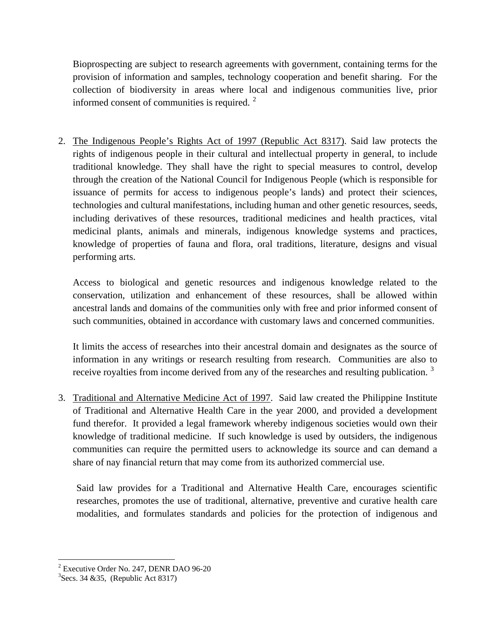Bioprospecting are subject to research agreements with government, containing terms for the provision of information and samples, technology cooperation and benefit sharing. For the collection of biodiversity in areas where local and indigenous communities live, prior informed consent of communities is required.  $2^{\circ}$  $2^{\circ}$ 

2. The Indigenous People's Rights Act of 1997 (Republic Act 8317). Said law protects the rights of indigenous people in their cultural and intellectual property in general, to include traditional knowledge. They shall have the right to special measures to control, develop through the creation of the National Council for Indigenous People (which is responsible for issuance of permits for access to indigenous people's lands) and protect their sciences, technologies and cultural manifestations, including human and other genetic resources, seeds, including derivatives of these resources, traditional medicines and health practices, vital medicinal plants, animals and minerals, indigenous knowledge systems and practices, knowledge of properties of fauna and flora, oral traditions, literature, designs and visual performing arts.

Access to biological and genetic resources and indigenous knowledge related to the conservation, utilization and enhancement of these resources, shall be allowed within ancestral lands and domains of the communities only with free and prior informed consent of such communities, obtained in accordance with customary laws and concerned communities.

It limits the access of researches into their ancestral domain and designates as the source of information in any writings or research resulting from research. Communities are also to receive royalties from income derived from any of the researches and resulting publication.<sup>[3](#page-2-1)</sup>

3. Traditional and Alternative Medicine Act of 1997. Said law created the Philippine Institute of Traditional and Alternative Health Care in the year 2000, and provided a development fund therefor. It provided a legal framework whereby indigenous societies would own their knowledge of traditional medicine. If such knowledge is used by outsiders, the indigenous communities can require the permitted users to acknowledge its source and can demand a share of nay financial return that may come from its authorized commercial use.

Said law provides for a Traditional and Alternative Health Care, encourages scientific researches, promotes the use of traditional, alternative, preventive and curative health care modalities, and formulates standards and policies for the protection of indigenous and

<span id="page-2-0"></span><sup>&</sup>lt;sup>2</sup> Executive Order No. 247, DENR DAO 96-20

<span id="page-2-1"></span> ${}^{3}$ Secs. 34 & 35, (Republic Act 8317)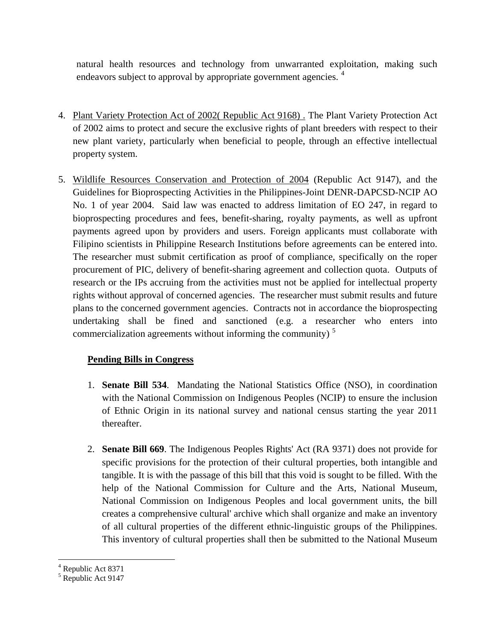natural health resources and technology from unwarranted exploitation, making such endeavors subject to approval by appropriate government agencies. <sup>[4](#page-3-0)</sup>

- 4. Plant Variety Protection Act of 2002( Republic Act 9168) . The Plant Variety Protection Act of 2002 aims to protect and secure the exclusive rights of plant breeders with respect to their new plant variety, particularly when beneficial to people, through an effective intellectual property system.
- 5. Wildlife Resources Conservation and Protection of 2004 (Republic Act 9147), and the Guidelines for Bioprospecting Activities in the Philippines-Joint DENR-DAPCSD-NCIP AO No. 1 of year 2004. Said law was enacted to address limitation of EO 247, in regard to bioprospecting procedures and fees, benefit-sharing, royalty payments, as well as upfront payments agreed upon by providers and users. Foreign applicants must collaborate with Filipino scientists in Philippine Research Institutions before agreements can be entered into. The researcher must submit certification as proof of compliance, specifically on the roper procurement of PIC, delivery of benefit-sharing agreement and collection quota. Outputs of research or the IPs accruing from the activities must not be applied for intellectual property rights without approval of concerned agencies. The researcher must submit results and future plans to the concerned government agencies. Contracts not in accordance the bioprospecting undertaking shall be fined and sanctioned (e.g. a researcher who enters into commercialization agreements without informing the community)<sup>[5](#page-3-1)</sup>

# **Pending Bills in Congress**

- 1. **Senate Bill 534**. Mandating the National Statistics Office (NSO), in coordination with the National Commission on Indigenous Peoples (NCIP) to ensure the inclusion of Ethnic Origin in its national survey and national census starting the year 2011 thereafter.
- 2. **Senate Bill 669**. The Indigenous Peoples Rights' Act (RA 9371) does not provide for specific provisions for the protection of their cultural properties, both intangible and tangible. It is with the passage of this bill that this void is sought to be filled. With the help of the National Commission for Culture and the Arts, National Museum, National Commission on Indigenous Peoples and local government units, the bill creates a comprehensive cultural' archive which shall organize and make an inventory of all cultural properties of the different ethnic-linguistic groups of the Philippines. This inventory of cultural properties shall then be submitted to the National Museum

<span id="page-3-0"></span> $<sup>4</sup>$  Republic Act 8371<br>  $<sup>5</sup>$  Republic Act 9147</sup></sup>

<span id="page-3-1"></span>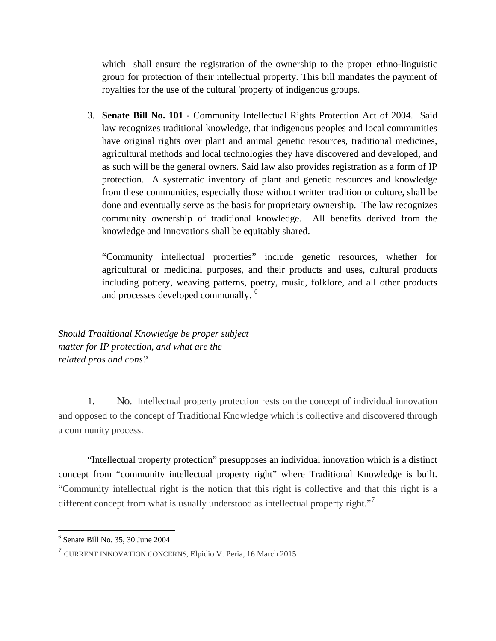which shall ensure the registration of the ownership to the proper ethno-linguistic group for protection of their intellectual property. This bill mandates the payment of royalties for the use of the cultural 'property of indigenous groups.

3. **Senate Bill No. 101** - Community Intellectual Rights Protection Act of 2004. Said law recognizes traditional knowledge, that indigenous peoples and local communities have original rights over plant and animal genetic resources, traditional medicines, agricultural methods and local technologies they have discovered and developed, and as such will be the general owners. Said law also provides registration as a form of IP protection. A systematic inventory of plant and genetic resources and knowledge from these communities, especially those without written tradition or culture, shall be done and eventually serve as the basis for proprietary ownership. The law recognizes community ownership of traditional knowledge. All benefits derived from the knowledge and innovations shall be equitably shared.

"Community intellectual properties" include genetic resources, whether for agricultural or medicinal purposes, and their products and uses, cultural products including pottery, weaving patterns, poetry, music, folklore, and all other products and processes developed communally. [6](#page-4-0)

*Should Traditional Knowledge be proper subject matter for IP protection, and what are the related pros and cons?*

*\_\_\_\_\_\_\_\_\_\_\_\_\_\_\_\_\_\_\_\_\_\_\_\_\_\_\_\_\_\_\_\_\_\_\_\_\_\_\_*

1. No. Intellectual property protection rests on the concept of individual innovation and opposed to the concept of Traditional Knowledge which is collective and discovered through a community process.

"Intellectual property protection" presupposes an individual innovation which is a distinct concept from "community intellectual property right" where Traditional Knowledge is built. "Community intellectual right is the notion that this right is collective and that this right is a different concept from what is usually understood as intellectual property right."<sup>[7](#page-4-1)</sup>

<span id="page-4-0"></span> $<sup>6</sup>$  Senate Bill No. 35, 30 June 2004</sup>

<span id="page-4-1"></span> $<sup>7</sup>$  CURRENT INNOVATION CONCERNS, Elpidio V. Peria, 16 March 2015</sup>